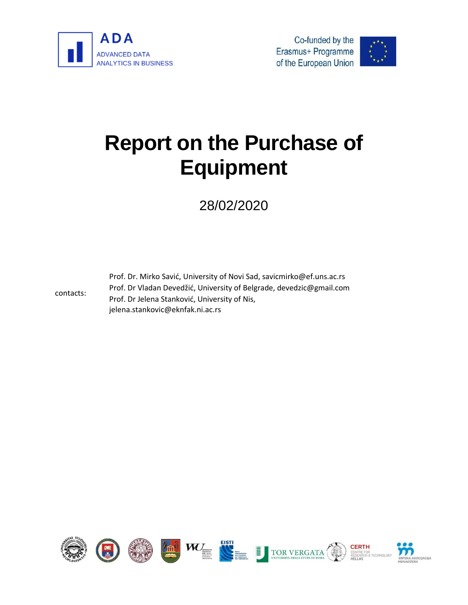





# **Report on the Purchase of Equipment**

# 28/02/2020

contacts:

Prof. Dr. Mirko Savić, University of Novi Sad, savicmirko@ef.uns.ac.rs Prof. Dr Vladan Devedžić, University of Belgrade, devedzic@gmail.com Prof. Dr Jelena Stanković, University of Nis, jelena.stankovic@eknfak.ni.ac.rs

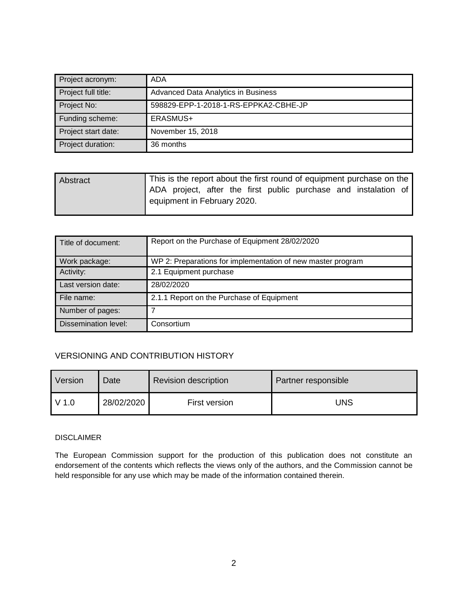| Project acronym:    | ADA                                   |
|---------------------|---------------------------------------|
| Project full title: | Advanced Data Analytics in Business   |
| Project No:         | 598829-EPP-1-2018-1-RS-EPPKA2-CBHE-JP |
| Funding scheme:     | ERASMUS+                              |
| Project start date: | November 15, 2018                     |
| Project duration:   | 36 months                             |

| Abstract |                             |  |  |  | This is the report about the first round of equipment purchase on the |  |
|----------|-----------------------------|--|--|--|-----------------------------------------------------------------------|--|
|          |                             |  |  |  | ADA project, after the first public purchase and instalation of       |  |
|          | equipment in February 2020. |  |  |  |                                                                       |  |

| Title of document:   | Report on the Purchase of Equipment 28/02/2020              |
|----------------------|-------------------------------------------------------------|
| Work package:        | WP 2: Preparations for implementation of new master program |
| Activity:            | 2.1 Equipment purchase                                      |
| Last version date:   | 28/02/2020                                                  |
| File name:           | 2.1.1 Report on the Purchase of Equipment                   |
| Number of pages:     |                                                             |
| Dissemination level: | Consortium                                                  |

#### VERSIONING AND CONTRIBUTION HISTORY

| Version | Date       | <b>Revision description</b> | Partner responsible |
|---------|------------|-----------------------------|---------------------|
| $V$ 1.0 | 28/02/2020 | First version               | JNS                 |

#### DISCLAIMER

The European Commission support for the production of this publication does not constitute an endorsement of the contents which reflects the views only of the authors, and the Commission cannot be held responsible for any use which may be made of the information contained therein.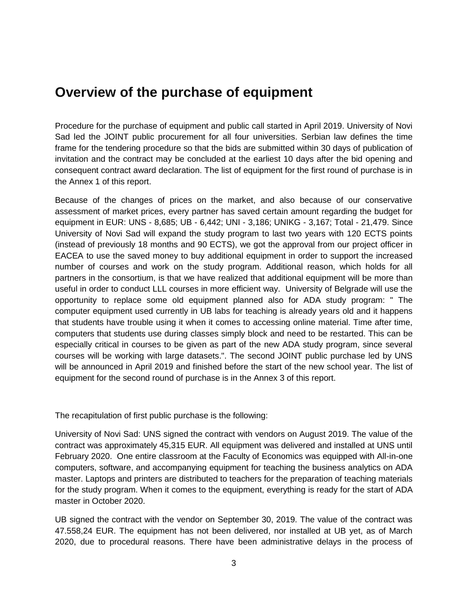## **Overview of the purchase of equipment**

Procedure for the purchase of equipment and public call started in April 2019. University of Novi Sad led the JOINT public procurement for all four universities. Serbian law defines the time frame for the tendering procedure so that the bids are submitted within 30 days of publication of invitation and the contract may be concluded at the earliest 10 days after the bid opening and consequent contract award declaration. The list of equipment for the first round of purchase is in the Annex 1 of this report.

Because of the changes of prices on the market, and also because of our conservative assessment of market prices, every partner has saved certain amount regarding the budget for equipment in EUR: UNS - 8,685; UB - 6,442; UNI - 3,186; UNIKG - 3,167; Total - 21,479. Since University of Novi Sad will expand the study program to last two years with 120 ECTS points (instead of previously 18 months and 90 ECTS), we got the approval from our project officer in EACEA to use the saved money to buy additional equipment in order to support the increased number of courses and work on the study program. Additional reason, which holds for all partners in the consortium, is that we have realized that additional equipment will be more than useful in order to conduct LLL courses in more efficient way. University of Belgrade will use the opportunity to replace some old equipment planned also for ADA study program: " The computer equipment used currently in UB labs for teaching is already years old and it happens that students have trouble using it when it comes to accessing online material. Time after time, computers that students use during classes simply block and need to be restarted. This can be especially critical in courses to be given as part of the new ADA study program, since several courses will be working with large datasets.". The second JOINT public purchase led by UNS will be announced in April 2019 and finished before the start of the new school year. The list of equipment for the second round of purchase is in the Annex 3 of this report.

The recapitulation of first public purchase is the following:

University of Novi Sad: UNS signed the contract with vendors on August 2019. The value of the contract was approximately 45,315 EUR. All equipment was delivered and installed at UNS until February 2020. One entire classroom at the Faculty of Economics was equipped with All-in-one computers, software, and accompanying equipment for teaching the business analytics on ADA master. Laptops and printers are distributed to teachers for the preparation of teaching materials for the study program. When it comes to the equipment, everything is ready for the start of ADA master in October 2020.

UB signed the contract with the vendor on September 30, 2019. The value of the contract was 47.558,24 EUR. The equipment has not been delivered, nor installed at UB yet, as of March 2020, due to procedural reasons. There have been administrative delays in the process of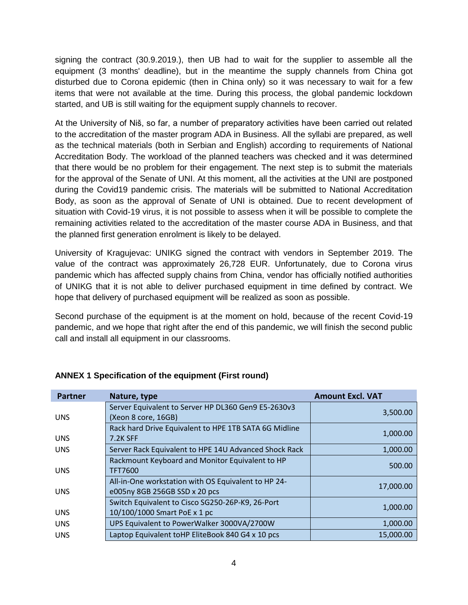signing the contract (30.9.2019.), then UB had to wait for the supplier to assemble all the equipment (3 months' deadline), but in the meantime the supply channels from China got disturbed due to Corona epidemic (then in China only) so it was necessary to wait for a few items that were not available at the time. During this process, the global pandemic lockdown started, and UB is still waiting for the equipment supply channels to recover.

At the University of Niš, so far, a number of preparatory activities have been carried out related to the accreditation of the master program ADA in Business. All the syllabi are prepared, as well as the technical materials (both in Serbian and English) according to requirements of National Accreditation Body. The workload of the planned teachers was checked and it was determined that there would be no problem for their engagement. The next step is to submit the materials for the approval of the Senate of UNI. At this moment, all the activities at the UNI are postponed during the Covid19 pandemic crisis. The materials will be submitted to National Accreditation Body, as soon as the approval of Senate of UNI is obtained. Due to recent development of situation with Covid-19 virus, it is not possible to assess when it will be possible to complete the remaining activities related to the accreditation of the master course ADA in Business, and that the planned first generation enrolment is likely to be delayed.

University of Kragujevac: UNIKG signed the contract with vendors in September 2019. The value of the contract was approximately 26,728 EUR. Unfortunately, due to Corona virus pandemic which has affected supply chains from China, vendor has officially notified authorities of UNIKG that it is not able to deliver purchased equipment in time defined by contract. We hope that delivery of purchased equipment will be realized as soon as possible.

Second purchase of the equipment is at the moment on hold, because of the recent Covid-19 pandemic, and we hope that right after the end of this pandemic, we will finish the second public call and install all equipment in our classrooms.

| <b>Partner</b> | Nature, type                                          | <b>Amount Excl. VAT</b> |
|----------------|-------------------------------------------------------|-------------------------|
|                | Server Equivalent to Server HP DL360 Gen9 E5-2630v3   | 3,500.00                |
| <b>UNS</b>     | (Xeon 8 core, 16GB)                                   |                         |
|                | Rack hard Drive Equivalent to HPE 1TB SATA 6G Midline | 1,000.00                |
| <b>UNS</b>     | <b>7.2K SFF</b>                                       |                         |
| <b>UNS</b>     | Server Rack Equivalent to HPE 14U Advanced Shock Rack | 1,000.00                |
|                | Rackmount Keyboard and Monitor Equivalent to HP       | 500.00                  |
| <b>UNS</b>     | TFT7600                                               |                         |
|                | All-in-One workstation with OS Equivalent to HP 24-   | 17,000.00               |
| <b>UNS</b>     | e005ny 8GB 256GB SSD x 20 pcs                         |                         |
|                | Switch Equivalent to Cisco SG250-26P-K9, 26-Port      | 1,000.00                |
| <b>UNS</b>     | 10/100/1000 Smart PoE x 1 pc                          |                         |
| <b>UNS</b>     | UPS Equivalent to PowerWalker 3000VA/2700W            | 1,000.00                |
| <b>UNS</b>     | Laptop Equivalent toHP EliteBook 840 G4 x 10 pcs      | 15,000.00               |

### **ANNEX 1 Specification of the equipment (First round)**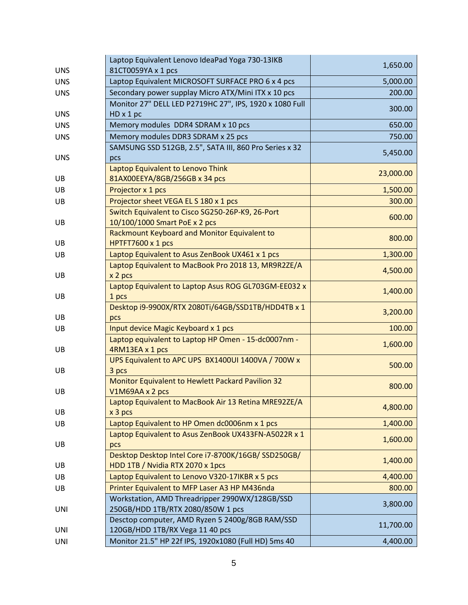| <b>UNS</b> | Laptop Equivalent Lenovo IdeaPad Yoga 730-13IKB<br>81CT0059YA x 1 pcs              | 1,650.00  |
|------------|------------------------------------------------------------------------------------|-----------|
| <b>UNS</b> | Laptop Equivalent MICROSOFT SURFACE PRO 6 x 4 pcs                                  | 5,000.00  |
| <b>UNS</b> | Secondary power supplay Micro ATX/Mini ITX x 10 pcs                                | 200.00    |
| <b>UNS</b> | Monitor 27" DELL LED P2719HC 27", IPS, 1920 x 1080 Full<br>$HD \times 1 pc$        | 300.00    |
| <b>UNS</b> | Memory modules DDR4 SDRAM x 10 pcs                                                 | 650.00    |
| <b>UNS</b> | Memory modules DDR3 SDRAM x 25 pcs                                                 | 750.00    |
|            | SAMSUNG SSD 512GB, 2.5", SATA III, 860 Pro Series x 32                             |           |
| <b>UNS</b> | pcs                                                                                | 5,450.00  |
|            | Laptop Equivalent to Lenovo Think                                                  |           |
| UB         | 81AX00EEYA/8GB/256GB x 34 pcs                                                      | 23,000.00 |
| UB         | Projector x 1 pcs                                                                  | 1,500.00  |
| UB         | Projector sheet VEGA EL S 180 x 1 pcs                                              | 300.00    |
|            | Switch Equivalent to Cisco SG250-26P-K9, 26-Port                                   | 600.00    |
| UB         | 10/100/1000 Smart PoE x 2 pcs                                                      |           |
|            | Rackmount Keyboard and Monitor Equivalent to                                       | 800.00    |
| UB         | HPTFT7600 x 1 pcs                                                                  |           |
| UB         | Laptop Equivalent to Asus ZenBook UX461 x 1 pcs                                    | 1,300.00  |
| UB         | Laptop Equivalent to MacBook Pro 2018 13, MR9R2ZE/A<br>x 2 pcs                     | 4,500.00  |
|            | Laptop Equivalent to Laptop Asus ROG GL703GM-EE032 x                               |           |
| UB         | 1 pcs                                                                              | 1,400.00  |
|            | Desktop i9-9900X/RTX 2080Ti/64GB/SSD1TB/HDD4TB x 1                                 | 3,200.00  |
| UB.        | pcs                                                                                |           |
| UB         | Input device Magic Keyboard x 1 pcs                                                | 100.00    |
|            | Laptop equivalent to Laptop HP Omen - 15-dc0007nm -                                | 1,600.00  |
| UB         | 4RM13EA x 1 pcs<br>UPS Equivalent to APC UPS BX1400UI 1400VA / 700W x              |           |
| UB         | 3 pcs                                                                              | 500.00    |
|            | Monitor Equivalent to Hewlett Packard Pavilion 32                                  |           |
| UB         | V1M69AA x 2 pcs                                                                    | 800.00    |
|            | Laptop Equivalent to MacBook Air 13 Retina MRE92ZE/A                               |           |
| UB         | x 3 pcs                                                                            | 4,800.00  |
| UB         | Laptop Equivalent to HP Omen dc0006nm x 1 pcs                                      | 1,400.00  |
|            | Laptop Equivalent to Asus ZenBook UX433FN-A5022R x 1                               |           |
| UB         | pcs                                                                                | 1,600.00  |
|            | Desktop Desktop Intel Core i7-8700K/16GB/ SSD250GB/                                | 1,400.00  |
| UB         | HDD 1TB / Nvidia RTX 2070 x 1pcs                                                   |           |
| UB         | Laptop Equivalent to Lenovo V320-17IKBR x 5 pcs                                    | 4,400.00  |
| UB         | Printer Equivalent to MFP Laser A3 HP M436nda                                      | 800.00    |
|            | Workstation, AMD Threadripper 2990WX/128GB/SSD                                     | 3,800.00  |
| UNI        | 250GB/HDD 1TB/RTX 2080/850W 1 pcs                                                  |           |
| <b>UNI</b> | Desctop computer, AMD Ryzen 5 2400g/8GB RAM/SSD<br>120GB/HDD 1TB/RX Vega 11 40 pcs | 11,700.00 |
| UNI        | Monitor 21.5" HP 22f IPS, 1920x1080 (Full HD) 5ms 40                               | 4,400.00  |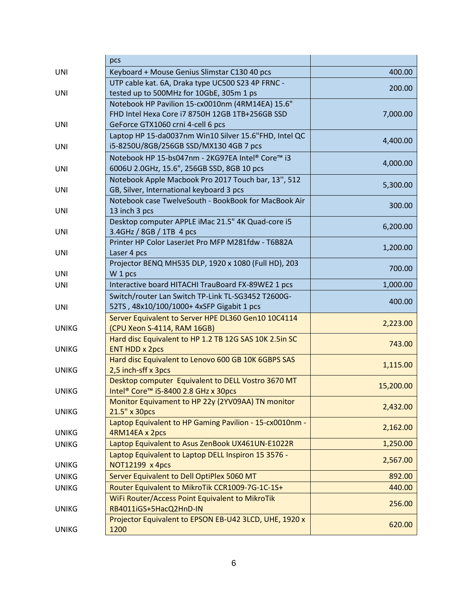|              | pcs                                                                       |           |
|--------------|---------------------------------------------------------------------------|-----------|
| UNI          | Keyboard + Mouse Genius Slimstar C130 40 pcs                              | 400.00    |
|              | UTP cable kat. 6A, Draka type UC500 S23 4P FRNC -                         | 200.00    |
| UNI          | tested up to 500MHz for 10GbE, 305m 1 ps                                  |           |
|              | Notebook HP Pavilion 15-cx0010nm (4RM14EA) 15.6"                          |           |
|              | FHD Intel Hexa Core i7 8750H 12GB 1TB+256GB SSD                           | 7,000.00  |
| UNI          | GeForce GTX1060 crni 4-cell 6 pcs                                         |           |
|              | Laptop HP 15-da0037nm Win10 Silver 15.6"FHD, Intel QC                     | 4,400.00  |
| <b>UNI</b>   | i5-8250U/8GB/256GB SSD/MX130 4GB 7 pcs                                    |           |
|              | Notebook HP 15-bs047nm - 2KG97EA Intel® Core™ i3                          | 4,000.00  |
| UNI          | 6006U 2.0GHz, 15.6", 256GB SSD, 8GB 10 pcs                                |           |
|              | Notebook Apple Macbook Pro 2017 Touch bar, 13", 512                       | 5,300.00  |
| UNI          | GB, Silver, International keyboard 3 pcs                                  |           |
|              | Notebook case TwelveSouth - BookBook for MacBook Air                      | 300.00    |
| UNI          | 13 inch 3 pcs                                                             |           |
|              | Desktop computer APPLE iMac 21.5" 4K Quad-core i5                         | 6,200.00  |
| <b>UNI</b>   | 3.4GHz / 8GB / 1TB 4 pcs                                                  |           |
|              | Printer HP Color LaserJet Pro MFP M281fdw - T6B82A                        | 1,200.00  |
| <b>UNI</b>   | Laser 4 pcs                                                               |           |
|              | Projector BENQ MH535 DLP, 1920 x 1080 (Full HD), 203                      | 700.00    |
| <b>UNI</b>   | W 1 pcs                                                                   |           |
| UNI          | Interactive board HITACHI TrauBoard FX-89WE2 1 pcs                        | 1,000.00  |
|              | Switch/router Lan Switch TP-Link TL-SG3452 T2600G-                        | 400.00    |
| <b>UNI</b>   | 52TS, 48x10/100/1000+ 4xSFP Gigabit 1 pcs                                 |           |
|              | Server Equivalent to Server HPE DL360 Gen10 10C4114                       | 2,223.00  |
| <b>UNIKG</b> | (CPU Xeon S-4114, RAM 16GB)                                               |           |
|              | Hard disc Equivalent to HP 1.2 TB 12G SAS 10K 2.5in SC                    | 743.00    |
| <b>UNIKG</b> | <b>ENT HDD x 2pcs</b>                                                     |           |
|              | Hard disc Equivalent to Lenovo 600 GB 10K 6GBPS SAS                       | 1,115.00  |
| <b>UNIKG</b> | 2,5 inch-sff x 3pcs                                                       |           |
|              | Desktop computer Equivalent to DELL Vostro 3670 MT                        | 15,200.00 |
| <b>UNIKG</b> | Intel <sup>®</sup> Core <sup>™</sup> i5-8400 2.8 GHz x 30pcs              |           |
|              | Monitor Equivament to HP 22y (2YV09AA) TN monitor                         | 2,432.00  |
| <b>UNIKG</b> | 21.5" x 30pcs                                                             |           |
| <b>UNIKG</b> | Laptop Equivalent to HP Gaming Pavilion - 15-cx0010nm -<br>4RM14EA x 2pcs | 2,162.00  |
|              |                                                                           |           |
| <b>UNIKG</b> | Laptop Equivalent to Asus ZenBook UX461UN-E1022R                          | 1,250.00  |
|              | Laptop Equivalent to Laptop DELL Inspiron 15 3576 -                       | 2,567.00  |
| <b>UNIKG</b> | NOT12199 x 4pcs                                                           |           |
| <b>UNIKG</b> | Server Equivalent to Dell OptiPlex 5060 MT                                | 892.00    |
| <b>UNIKG</b> | Router Equivalent to MikroTik CCR1009-7G-1C-1S+                           | 440.00    |
|              | WiFi Router/Access Point Equivalent to MikroTik                           | 256.00    |
| <b>UNIKG</b> | RB4011iGS+5HacQ2HnD-IN                                                    |           |
|              | Projector Equivalent to EPSON EB-U42 3LCD, UHE, 1920 x                    | 620.00    |
| <b>UNIKG</b> | 1200                                                                      |           |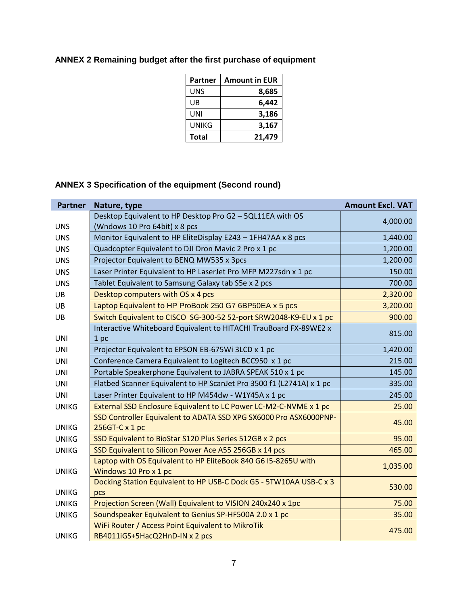| Partner      | <b>Amount in EUR</b> |
|--------------|----------------------|
| UNS          | 8,685                |
| UB           | 6,442                |
| UNI          | 3,186                |
| UNIKG        | 3,167                |
| <b>Total</b> | 21,479               |

### **ANNEX 2 Remaining budget after the first purchase of equipment**

### **ANNEX 3 Specification of the equipment (Second round)**

| <b>Partner</b> | Nature, type                                                         | <b>Amount Excl. VAT</b> |
|----------------|----------------------------------------------------------------------|-------------------------|
|                | Desktop Equivalent to HP Desktop Pro G2 - 5QL11EA with OS            | 4,000.00                |
| <b>UNS</b>     | (Wndows 10 Pro 64bit) x 8 pcs                                        |                         |
| <b>UNS</b>     | Monitor Equivalent to HP EliteDisplay E243 - 1FH47AA x 8 pcs         | 1,440.00                |
| <b>UNS</b>     | Quadcopter Equivalent to DJI Dron Mavic 2 Pro x 1 pc                 | 1,200.00                |
| <b>UNS</b>     | Projector Equivalent to BENQ MW535 x 3pcs                            | 1,200.00                |
| <b>UNS</b>     | Laser Printer Equivalent to HP LaserJet Pro MFP M227sdn x 1 pc       | 150.00                  |
| <b>UNS</b>     | Tablet Equivalent to Samsung Galaxy tab S5e x 2 pcs                  | 700.00                  |
| <b>UB</b>      | Desktop computers with OS x 4 pcs                                    | 2,320.00                |
| <b>UB</b>      | Laptop Equivalent to HP ProBook 250 G7 6BP50EA x 5 pcs               | 3,200.00                |
| UB             | Switch Equivalent to CISCO SG-300-52 52-port SRW2048-K9-EU x 1 pc    | 900.00                  |
|                | Interactive Whiteboard Equivalent to HITACHI TrauBoard FX-89WE2 x    |                         |
| <b>UNI</b>     | 1 <sub>pc</sub>                                                      | 815.00                  |
| UNI            | Projector Equivalent to EPSON EB-675Wi 3LCD x 1 pc                   | 1,420.00                |
| UNI            | Conference Camera Equivalent to Logitech BCC950 x 1 pc               | 215.00                  |
| <b>UNI</b>     | Portable Speakerphone Equivalent to JABRA SPEAK 510 x 1 pc           | 145.00                  |
| <b>UNI</b>     | Flatbed Scanner Equivalent to HP ScanJet Pro 3500 f1 (L2741A) x 1 pc | 335.00                  |
| <b>UNI</b>     | Laser Printer Equivalent to HP M454dw - W1Y45A x 1 pc                | 245.00                  |
| <b>UNIKG</b>   | External SSD Enclosure Equivalent to LC Power LC-M2-C-NVME x 1 pc    | 25.00                   |
|                | SSD Controller Equivalent to ADATA SSD XPG SX6000 Pro ASX6000PNP-    | 45.00                   |
| <b>UNIKG</b>   | 256GT-C x 1 pc                                                       |                         |
| <b>UNIKG</b>   | SSD Equivalent to BioStar S120 Plus Series 512GB x 2 pcs             | 95.00                   |
| <b>UNIKG</b>   | SSD Equivalent to Silicon Power Ace A55 256GB x 14 pcs               | 465.00                  |
|                | Laptop with OS Equivalent to HP EliteBook 840 G6 I5-8265U with       | 1,035.00                |
| <b>UNIKG</b>   | Windows 10 Pro x 1 pc                                                |                         |
|                | Docking Station Equivalent to HP USB-C Dock G5 - 5TW10AA USB-C x 3   | 530.00                  |
| <b>UNIKG</b>   | pcs                                                                  |                         |
| <b>UNIKG</b>   | Projection Screen (Wall) Equivalent to VISION 240x240 x 1pc          | 75.00                   |
| <b>UNIKG</b>   | Soundspeaker Equivalent to Genius SP-HF500A 2.0 x 1 pc               | 35.00                   |
|                | WiFi Router / Access Point Equivalent to MikroTik                    | 475.00                  |
| <b>UNIKG</b>   | RB4011iGS+5HacQ2HnD-IN x 2 pcs                                       |                         |